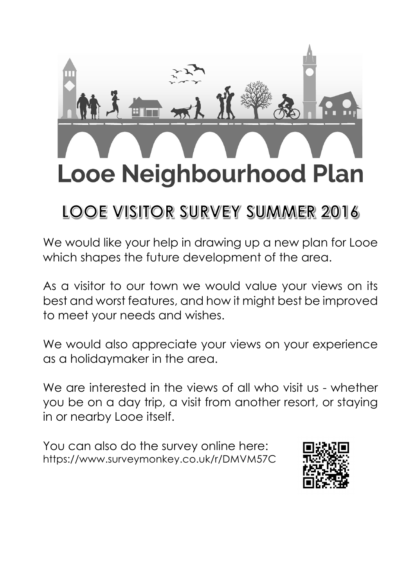

# LOOE VISITOR SURVEY SUMMER 2016

We would like your help in drawing up a new plan for Looe which shapes the future development of the area.

As a visitor to our town we would value your views on its best and worst features, and how it might best be improved to meet your needs and wishes.

We would also appreciate your views on your experience as a holidaymaker in the area.

We are interested in the views of all who visit us - whether you be on a day trip, a visit from another resort, or staying in or nearby Looe itself.

You can also do the survey online here: https://www.surveymonkey.co.uk/r/DMVM57C

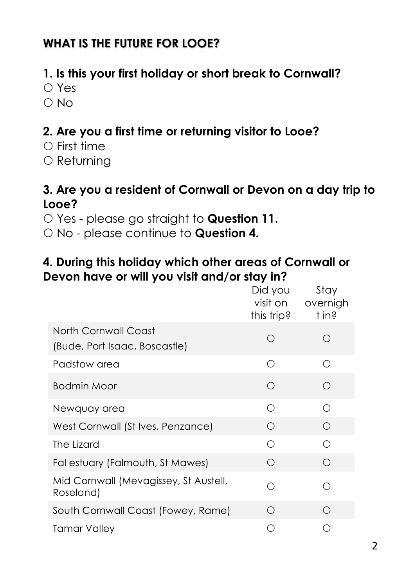# **WHAT IS THE FUTURE FOR LOOE?**

# **1. Is this your first holiday or short break to Cornwall?**

- Yes
- $O$  No

# **2. Are you a first time or returning visitor to Looe?**

- $\bigcirc$  First time
- $\circ$  Returning

### **3. Are you a resident of Cornwall or Devon on a day trip to Looe?**

- Yes please go straight to **Question 11.**
- No please continue to **Question 4.**

### **4. During this holiday which other areas of Cornwall or Devon have or will you visit and/or stay in?**

|                                                       | Did you<br>visit on<br>this trip? | Stay<br>overnigh<br>t in? |
|-------------------------------------------------------|-----------------------------------|---------------------------|
| North Cornwall Coast<br>(Bude, Port Isaac, Boscastle) | ∩                                 | ∩                         |
| Padstow area                                          | ∩                                 | ∩                         |
| Bodmin Moor                                           | ◯                                 | ∩                         |
| Newquay area                                          | ∩                                 | ∩                         |
| West Cornwall (St Ives, Penzance)                     | $\bigcirc$                        | ∩                         |
| The Lizard                                            | ∩                                 | ∩                         |
| Fal estuary (Falmouth, St Mawes)                      | ∩                                 | ∩                         |
| Mid Cornwall (Mevagissey, St Austell,<br>Roseland)    | ∩                                 | ∩                         |
| South Cornwall Coast (Fowey, Rame)                    | ∩                                 | ∩                         |
| Tamar Valley                                          | ∩                                 |                           |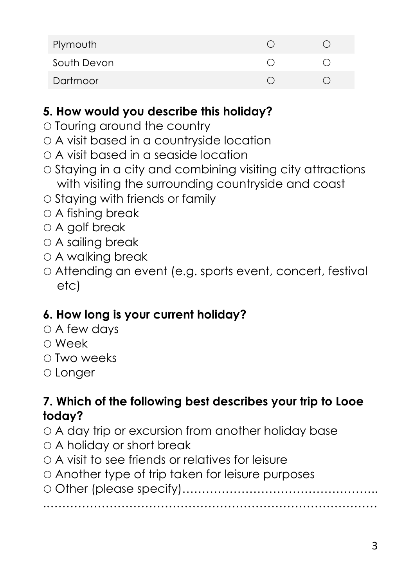| Plymouth    |  |
|-------------|--|
| South Devon |  |
| Dartmoor    |  |

# **5. How would you describe this holiday?**

- $\circ$  Touring around the country
- A visit based in a countryside location
- A visit based in a seaside location
- $\circ$  Staying in a city and combining visiting city attractions with visiting the surrounding countryside and coast
- $\circ$  Staving with friends or family
- A fishing break
- A golf break
- A sailing break
- A walking break
- Attending an event (e.g. sports event, concert, festival etc)

# **6. How long is your current holiday?**

- $\circ$  A few days
- Week
- ∩ Two weeks
- Longer

# **7. Which of the following best describes your trip to Looe today?**

- A day trip or excursion from another holiday base
- A holiday or short break
- A visit to see friends or relatives for leisure
- Another type of trip taken for leisure purposes

 Other (please specify)………………………………………….. .…………………………………………………………………………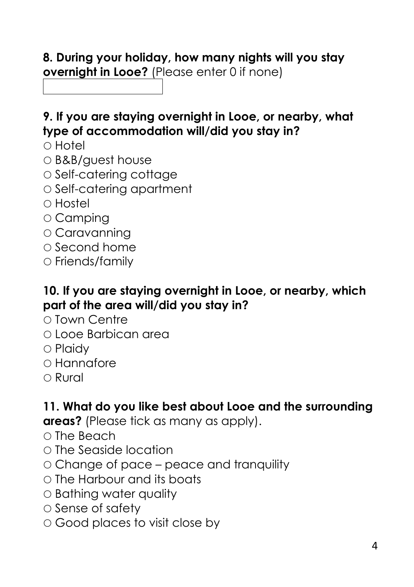# **8. During your holiday, how many nights will you stay overnight in Looe?** (Please enter 0 if none)

## **9. If you are staying overnight in Looe, or nearby, what type of accommodation will/did you stay in?**

- $\circ$  Hotel
- B&B/guest house
- Self-catering cottage
- O Self-catering apartment
- Hostel
- Camping
- Caravanning
- $\Omega$  Second home
- $\circ$  Friends/family

#### **10. If you are staying overnight in Looe, or nearby, which part of the area will/did you stay in?**

- Town Centre
- Looe Barbican area
- $\circ$  Plaidy
- Hannafore
- Rural

# **11. What do you like best about Looe and the surrounding**

**areas?** (Please tick as many as apply).

- $\circ$  The Beach
- The Seaside location
- Change of pace peace and tranquility
- The Harbour and its boats
- Bathing water quality
- $\circ$  Sense of safety
- Good places to visit close by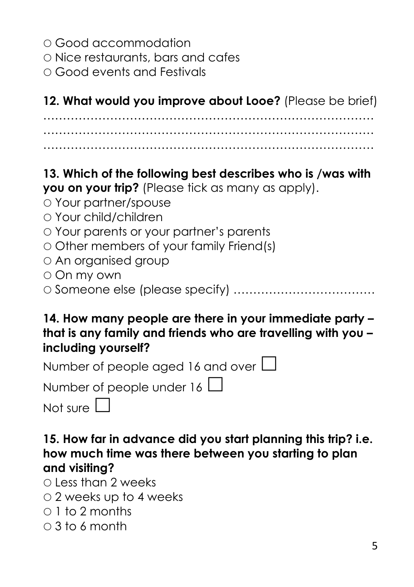- Good accommodation
- Nice restaurants, bars and cafes
- Good events and Festivals

**12. What would you improve about Looe?** (Please be brief)

………………………………………………………………………… ………………………………………………………………………… …………………………………………………………………………

# **13. Which of the following best describes who is /was with**

**you on your trip?** (Please tick as many as apply).

- Your partner/spouse
- Your child/children
- Your parents or your partner's parents
- $\circ$  Other members of your family Friend(s)
- An organised group
- On my own
- Someone else (please specify) ………………………………

#### **14. How many people are there in your immediate party – that is any family and friends who are travelling with you – including yourself?**

| Number of people aged 16 and over $\Box$ |
|------------------------------------------|
| Number of people under 16 $\Box$         |
| Not sure $\Box$                          |

**15. How far in advance did you start planning this trip? i.e. how much time was there between you starting to plan and visiting?**

 $\bigcap$  Less than 2 weeks

- 2 weeks up to 4 weeks
- $0.1$  to 2 months
- $\cap$  3 to 6 month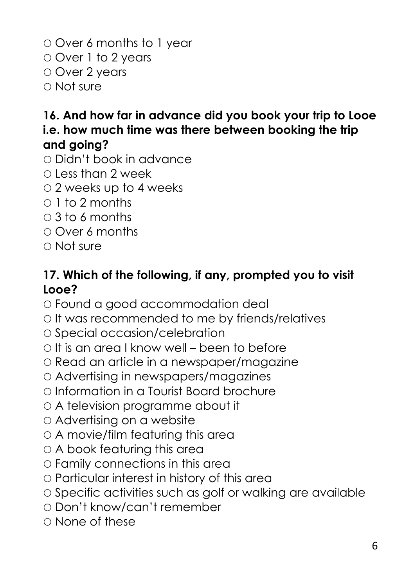Over 6 months to 1 year Over 1 to 2 years O Over 2 years Not sure

# **16. And how far in advance did you book your trip to Looe i.e. how much time was there between booking the trip and going?**

- Didn't book in advance
- $\bigcap$  Less than 2 week
- 2 weeks up to 4 weeks
- $\circ$  1 to 2 months
- 3 to 6 months
- Over 6 months
- Not sure

### **17. Which of the following, if any, prompted you to visit Looe?**

- Found a good accommodation deal
- $\circ$  It was recommended to me by friends/relatives
- O Special occasion/celebration
- $\circ$  It is an area I know well been to before
- Read an article in a newspaper/magazine
- Advertising in newspapers/magazines
- Information in a Tourist Board brochure
- A television programme about it
- Advertising on a website
- A movie/film featuring this area
- A book featuring this area
- Family connections in this area
- Particular interest in history of this area
- $\circ$  Specific activities such as golf or walking are available
- Don't know/can't remember
- None of these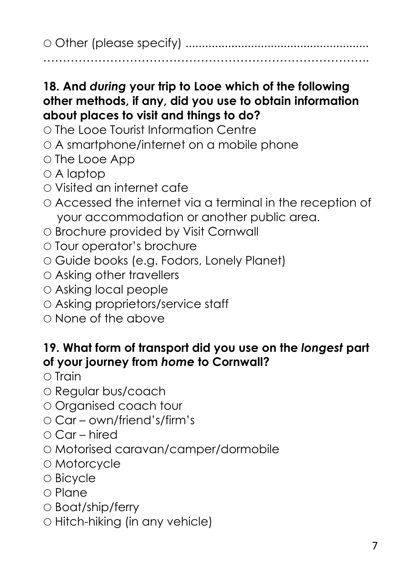Other (please specify) ........................................................

………………………………………………………………………..

## **18. And** *during* **your trip to Looe which of the following other methods, if any, did you use to obtain information about places to visit and things to do?**

- The Looe Tourist Information Centre
- A smartphone/internet on a mobile phone
- O The Looe App
- A laptop
- Visited an internet cafe
- Accessed the internet via a terminal in the reception of your accommodation or another public area.
- O Brochure provided by Visit Cornwall
- Tour operator's brochure
- Guide books (e.g. Fodors, Lonely Planet)
- Asking other travellers
- Asking local people
- Asking proprietors/service staff
- $\circ$  None of the above

# **19. What form of transport did you use on the** *longest* **part of your journey from** *home* **to Cornwall?**

- $\circ$  Train
- O Regular bus/coach
- Organised coach tour
- Car own/friend's/firm's
- $\circ$  Car hired
- Motorised caravan/camper/dormobile
- Motorcycle
- Bicycle
- $\circ$  Plane
- Boat/ship/ferry
- $\circ$  Hitch-hiking (in any vehicle)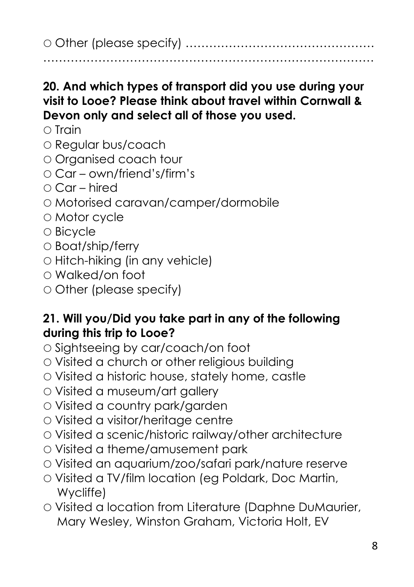Other (please specify) ………………………………………… …………………………………………………………………………

**20. And which types of transport did you use during your visit to Looe? Please think about travel within Cornwall & Devon only and select all of those you used.**

- $\cap$  Train
- O Regular bus/coach
- Organised coach tour
- Car own/friend's/firm's
- $\cap$  Car hired
- Motorised caravan/camper/dormobile
- Motor cycle
- Bicycle
- Boat/ship/ferry
- $\circ$  Hitch-hiking (in any vehicle)
- Walked/on foot
- Other (please specify)

#### **21. Will you/Did you take part in any of the following during this trip to Looe?**

- O Sightseeing by car/coach/on foot
- Visited a church or other religious building
- Visited a historic house, stately home, castle
- Visited a museum/art gallery
- Visited a country park/garden
- Visited a visitor/heritage centre
- Visited a scenic/historic railway/other architecture
- Visited a theme/amusement park
- Visited an aquarium/zoo/safari park/nature reserve
- Visited a TV/film location (eg Poldark, Doc Martin, Wycliffe)
- Visited a location from Literature (Daphne DuMaurier, Mary Wesley, Winston Graham, Victoria Holt, EV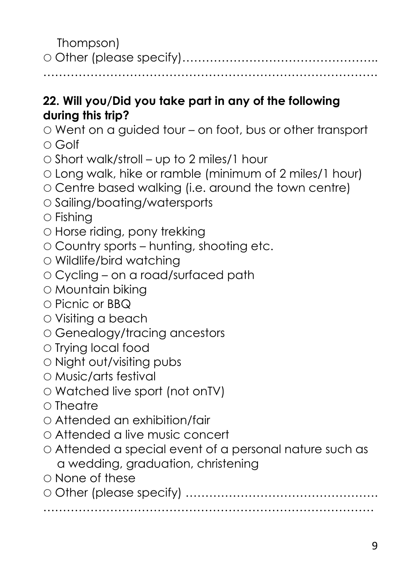Thompson) Other (please specify)…………………………………………..

………………………………………………………………………….

# **22. Will you/Did you take part in any of the following during this trip?**

Went on a guided tour – on foot, bus or other transport

- Golf
- $\circ$  Short walk/stroll up to 2 miles/1 hour
- Long walk, hike or ramble (minimum of 2 miles/1 hour)
- Centre based walking (i.e. around the town centre)
- O Sailing/boating/watersports
- $\circ$  Fishing
- Horse riding, pony trekking
- $\circ$  Country sports hunting, shooting etc.
- Wildlife/bird watching
- Cycling on a road/surfaced path
- Mountain biking
- Picnic or BBQ
- Visiting a beach
- Genealogy/tracing ancestors
- $\circ$  Trying local food
- Night out/visiting pubs
- Music/arts festival
- Watched live sport (not onTV)
- $\cap$  Theatre
- Attended an exhibition/fair
- Attended a live music concert
- Attended a special event of a personal nature such as a wedding, graduation, christening
- None of these
- Other (please specify) …………………………………………. …………………………………………………………………………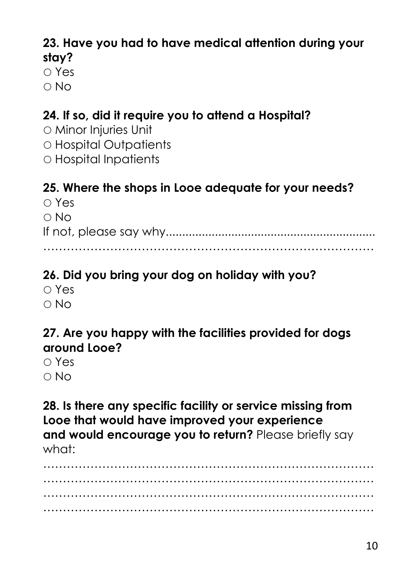### **23. Have you had to have medical attention during your stay?**

∩ Yes

No

# **24. If so, did it require you to attend a Hospital?**

- Minor Injuries Unit Hospital Outpatients
- Hospital Inpatients

# **25. Where the shops in Looe adequate for your needs?**

| $\circ$ Yes |
|-------------|
| $\circ$ No  |
|             |
|             |

# **26. Did you bring your dog on holiday with you?**

 Yes  $\cap$  No

# **27. Are you happy with the facilities provided for dogs around Looe?**

n Yes No

**28. Is there any specific facility or service missing from Looe that would have improved your experience and would encourage you to return?** Please briefly say what<sup>.</sup>

………………………………………………………………………… ………………………………………………………………………… ………………………………………………………………………… …………………………………………………………………………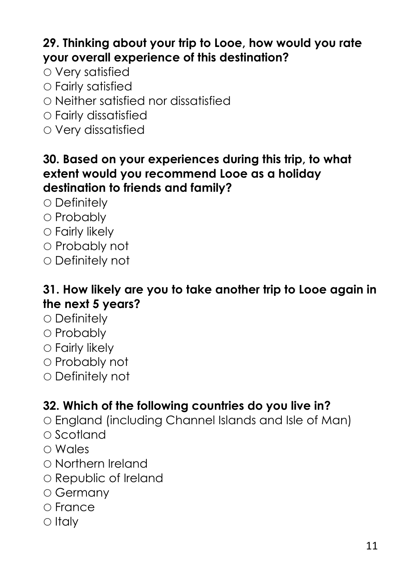# **29. Thinking about your trip to Looe, how would you rate your overall experience of this destination?**

- Very satisfied
- Fairly satisfied
- Neither satisfied nor dissatisfied
- Fairly dissatisfied
- Very dissatisfied

#### **30. Based on your experiences during this trip, to what extent would you recommend Looe as a holiday destination to friends and family?**

- $\circ$  Definitely
- O Probably
- Fairly likely
- Probably not
- Definitely not

#### **31. How likely are you to take another trip to Looe again in the next 5 years?**

- $\circ$  Definitely
- O Probably
- Fairly likely
- Probably not
- Definitely not

# **32. Which of the following countries do you live in?**

- England (including Channel Islands and Isle of Man)
- $\circ$  Scotland
- Wales
- Northern Ireland
- O Republic of Ireland
- Germany
- France
- $\circ$  Italy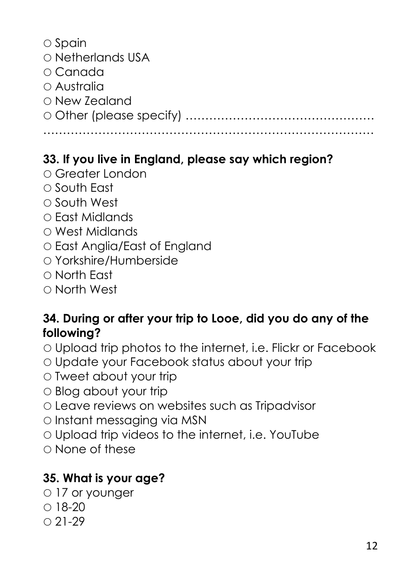| $\circ$ Spain     |
|-------------------|
| O Netherlands USA |
| ○ Canada          |
| $\circ$ Australia |
| ○ New Zealand     |
|                   |
|                   |

# **33. If you live in England, please say which region?**

- Greater London
- O South East
- O South West
- East Midlands
- West Midlands
- East Anglia/East of England
- Yorkshire/Humberside
- North East
- North West

# **34. During or after your trip to Looe, did you do any of the following?**

- Upload trip photos to the internet, i.e. Flickr or Facebook
- Update your Facebook status about your trip
- Tweet about your trip
- Blog about your trip
- Leave reviews on websites such as Tripadvisor
- Instant messaging via MSN
- Upload trip videos to the internet, i.e. YouTube
- $\cap$  None of these

# **35. What is your age?**

- 17 or younger
- $018-20$
- $0.21 29$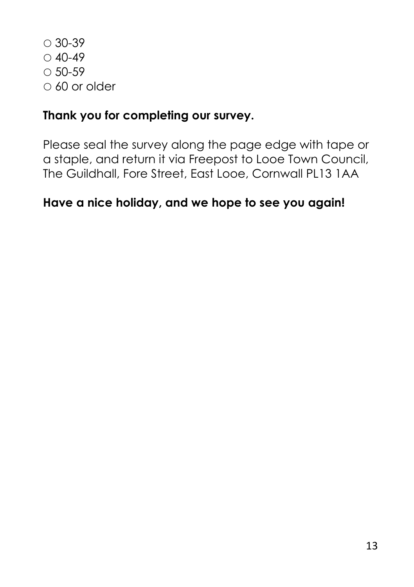$\circ$  30-39  $0.40 - 49$  $0.50 - 59$  $\circ$  60 or older

# **Thank you for completing our survey.**

Please seal the survey along the page edge with tape or a staple, and return it via Freepost to Looe Town Council, The Guildhall, Fore Street, East Looe, Cornwall PL13 1AA

### **Have a nice holiday, and we hope to see you again!**